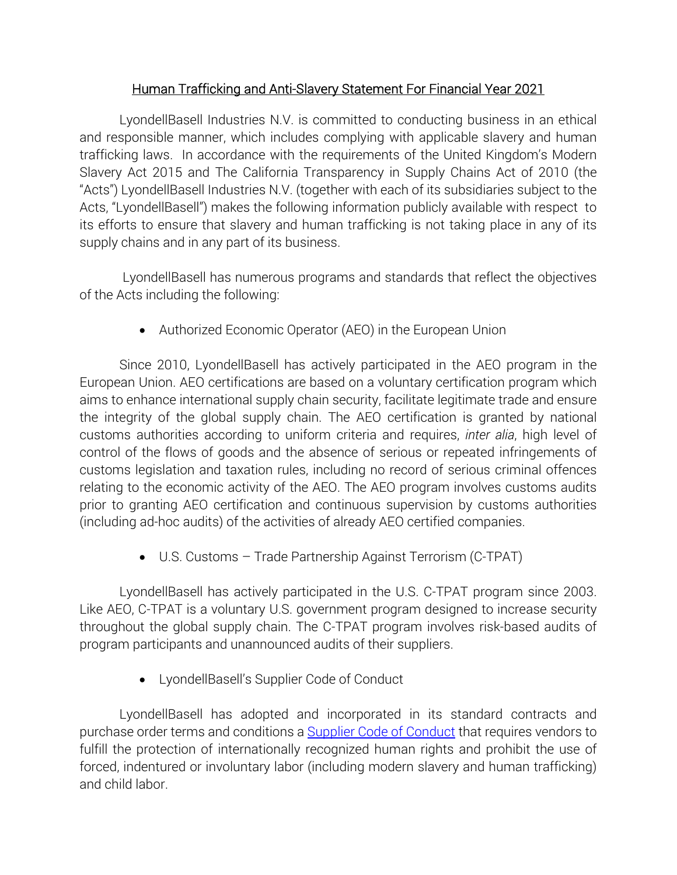## Human Trafficking and Anti-Slavery Statement For Financial Year 2021

LyondellBasell Industries N.V. is committed to conducting business in an ethical and responsible manner, which includes complying with applicable slavery and human trafficking laws. In accordance with the requirements of the United Kingdom's Modern Slavery Act 2015 and The California Transparency in Supply Chains Act of 2010 (the "Acts") LyondellBasell Industries N.V. (together with each of its subsidiaries subject to the Acts, "LyondellBasell") makes the following information publicly available with respect to its efforts to ensure that slavery and human trafficking is not taking place in any of its supply chains and in any part of its business.

 LyondellBasell has numerous programs and standards that reflect the objectives of the Acts including the following:

Authorized Economic Operator (AEO) in the European Union

Since 2010, LyondellBasell has actively participated in the AEO program in the European Union. AEO certifications are based on a voluntary certification program which aims to enhance international supply chain security, facilitate legitimate trade and ensure the integrity of the global supply chain. The AEO certification is granted by national customs authorities according to uniform criteria and requires, *inter alia*, high level of control of the flows of goods and the absence of serious or repeated infringements of customs legislation and taxation rules, including no record of serious criminal offences relating to the economic activity of the AEO. The AEO program involves customs audits prior to granting AEO certification and continuous supervision by customs authorities (including ad-hoc audits) of the activities of already AEO certified companies.

U.S. Customs – Trade Partnership Against Terrorism (C-TPAT)

LyondellBasell has actively participated in the U.S. C-TPAT program since 2003. Like AEO, C-TPAT is a voluntary U.S. government program designed to increase security throughout the global supply chain. The C-TPAT program involves risk-based audits of program participants and unannounced audits of their suppliers.

LyondellBasell's Supplier Code of Conduct

LyondellBasell has adopted and incorporated in its standard contracts and purchase order terms and conditions a Supplier Code of Conduct that requires vendors to fulfill the protection of internationally recognized human rights and prohibit the use of forced, indentured or involuntary labor (including modern slavery and human trafficking) and child labor.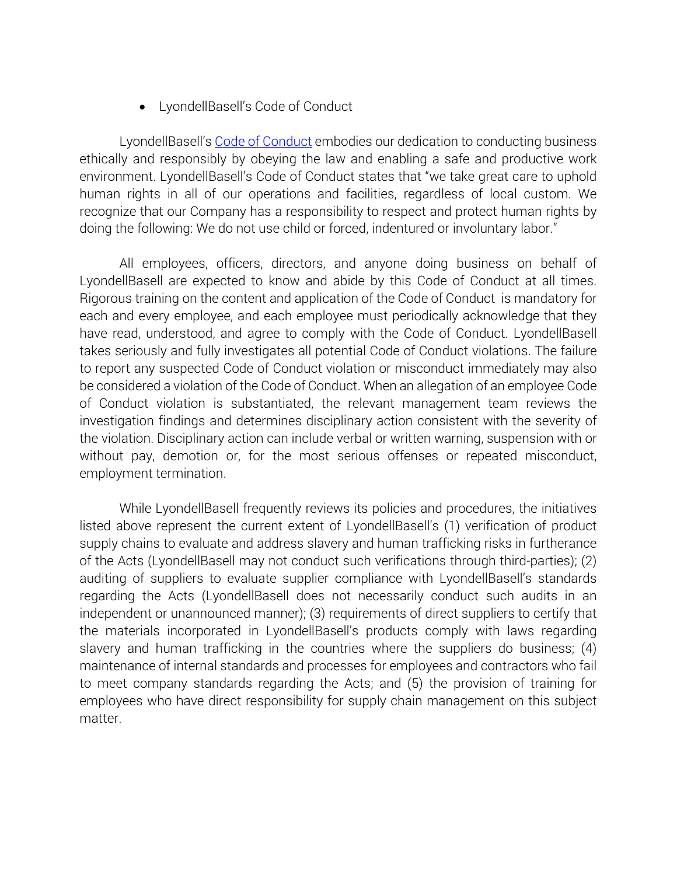LyondellBasell's Code of Conduct

LyondellBasell's Code of Conduct embodies our dedication to conducting business ethically and responsibly by obeying the law and enabling a safe and productive work environment. LyondellBasell's Code of Conduct states that "we take great care to uphold human rights in all of our operations and facilities, regardless of local custom. We recognize that our Company has a responsibility to respect and protect human rights by doing the following: We do not use child or forced, indentured or involuntary labor."

All employees, officers, directors, and anyone doing business on behalf of LyondellBasell are expected to know and abide by this Code of Conduct at all times. Rigorous training on the content and application of the Code of Conduct is mandatory for each and every employee, and each employee must periodically acknowledge that they have read, understood, and agree to comply with the Code of Conduct. LyondellBasell takes seriously and fully investigates all potential Code of Conduct violations. The failure to report any suspected Code of Conduct violation or misconduct immediately may also be considered a violation of the Code of Conduct. When an allegation of an employee Code of Conduct violation is substantiated, the relevant management team reviews the investigation findings and determines disciplinary action consistent with the severity of the violation. Disciplinary action can include verbal or written warning, suspension with or without pay, demotion or, for the most serious offenses or repeated misconduct, employment termination.

While LyondellBasell frequently reviews its policies and procedures, the initiatives listed above represent the current extent of LyondellBasell's (1) verification of product supply chains to evaluate and address slavery and human trafficking risks in furtherance of the Acts (LyondellBasell may not conduct such verifications through third-parties); (2) auditing of suppliers to evaluate supplier compliance with LyondellBasell's standards regarding the Acts (LyondellBasell does not necessarily conduct such audits in an independent or unannounced manner); (3) requirements of direct suppliers to certify that the materials incorporated in LyondellBasell's products comply with laws regarding slavery and human trafficking in the countries where the suppliers do business; (4) maintenance of internal standards and processes for employees and contractors who fail to meet company standards regarding the Acts; and (5) the provision of training for employees who have direct responsibility for supply chain management on this subject matter.